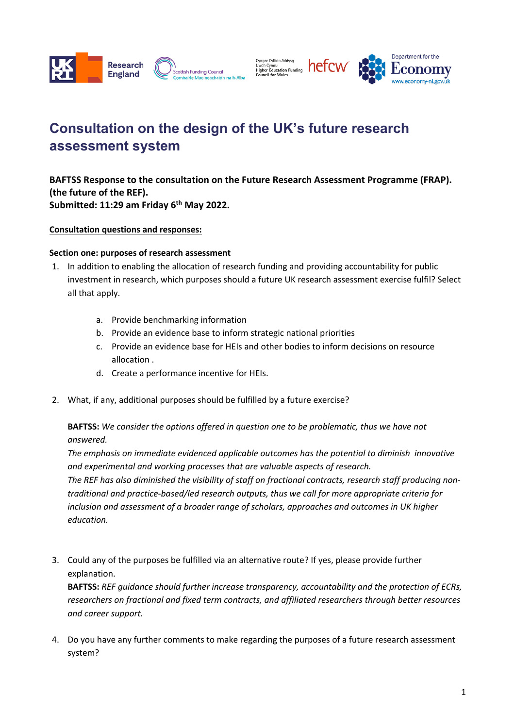

Cyngor Cyllido Addysg<br>Uwch Cymru<br>Higher Education Funding<br>Council for Wales hefcw



# **Consultation on the design of the UK's future research assessment system**

**BAFTSS Response to the consultation on the Future Research Assessment Programme (FRAP). (the future of the REF). Submitted: 11:29 am Friday 6th May 2022.**

**Consultation questions and responses:**

### **Section one: purposes of research assessment**

- 1. In addition to enabling the allocation of research funding and providing accountability for public investment in research, which purposes should a future UK research assessment exercise fulfil? Select all that apply.
	- a. Provide benchmarking information
	- b. Provide an evidence base to inform strategic national priorities
	- c. Provide an evidence base for HEIs and other bodies to inform decisions on resource allocation .
	- d. Create a performance incentive for HEIs.
- 2. What, if any, additional purposes should be fulfilled by a future exercise?

**BAFTSS:** *We consider the options offered in question one to be problematic, thus we have not answered.*

*The emphasis on immediate evidenced applicable outcomes has the potential to diminish innovative and experimental and working processes that are valuable aspects of research. The REF has also diminished the visibility of staff on fractional contracts, research staff producing non-*

*traditional and practice-based/led research outputs, thus we call for more appropriate criteria for inclusion and assessment of a broader range of scholars, approaches and outcomes in UK higher education.* 

3. Could any of the purposes be fulfilled via an alternative route? If yes, please provide further explanation.

**BAFTSS:** *REF guidance should further increase transparency, accountability and the protection of ECRs, researchers on fractional and fixed term contracts, and affiliated researchers through better resources and career support.*

4. Do you have any further comments to make regarding the purposes of a future research assessment system?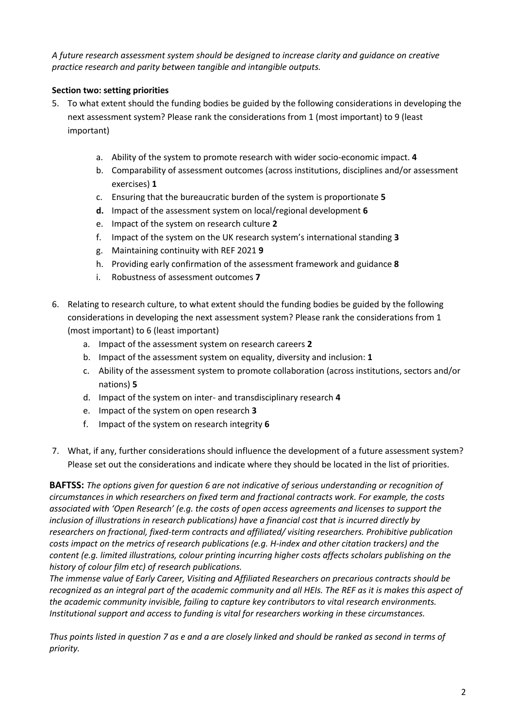*A future research assessment system should be designed to increase clarity and guidance on creative practice research and parity between tangible and intangible outputs.*

# **Section two: setting priorities**

- 5. To what extent should the funding bodies be guided by the following considerations in developing the next assessment system? Please rank the considerations from 1 (most important) to 9 (least important)
	- a. Ability of the system to promote research with wider socio-economic impact. **4**
	- b. Comparability of assessment outcomes (across institutions, disciplines and/or assessment exercises) **1**
	- c. Ensuring that the bureaucratic burden of the system is proportionate **5**
	- **d.** Impact of the assessment system on local/regional development **6**
	- e. Impact of the system on research culture **2**
	- f. Impact of the system on the UK research system's international standing **3**
	- g. Maintaining continuity with REF 2021 **9**
	- h. Providing early confirmation of the assessment framework and guidance **8**
	- i. Robustness of assessment outcomes **7**
- 6. Relating to research culture, to what extent should the funding bodies be guided by the following considerations in developing the next assessment system? Please rank the considerations from 1 (most important) to 6 (least important)
	- a. Impact of the assessment system on research careers **2**
	- b. Impact of the assessment system on equality, diversity and inclusion: **1**
	- c. Ability of the assessment system to promote collaboration (across institutions, sectors and/or nations) **5**
	- d. Impact of the system on inter- and transdisciplinary research **4**
	- e. Impact of the system on open research **3**
	- f. Impact of the system on research integrity **6**
- 7. What, if any, further considerations should influence the development of a future assessment system? Please set out the considerations and indicate where they should be located in the list of priorities.

**BAFTSS:** *The options given for question 6 are not indicative of serious understanding or recognition of circumstances in which researchers on fixed term and fractional contracts work. For example, the costs associated with 'Open Research' (e.g. the costs of open access agreements and licenses to support the inclusion of illustrations in research publications) have a financial cost that is incurred directly by researchers on fractional, fixed-term contracts and affiliated/ visiting researchers. Prohibitive publication costs impact on the metrics of research publications (e.g. H-index and other citation trackers) and the content (e.g. limited illustrations, colour printing incurring higher costs affects scholars publishing on the history of colour film etc) of research publications.* 

*The immense value of Early Career, Visiting and Affiliated Researchers on precarious contracts should be recognized as an integral part of the academic community and all HEIs. The REF as it is makes this aspect of the academic community invisible, failing to capture key contributors to vital research environments. Institutional support and access to funding is vital for researchers working in these circumstances.*

*Thus points listed in question 7 as e and a are closely linked and should be ranked as second in terms of priority.*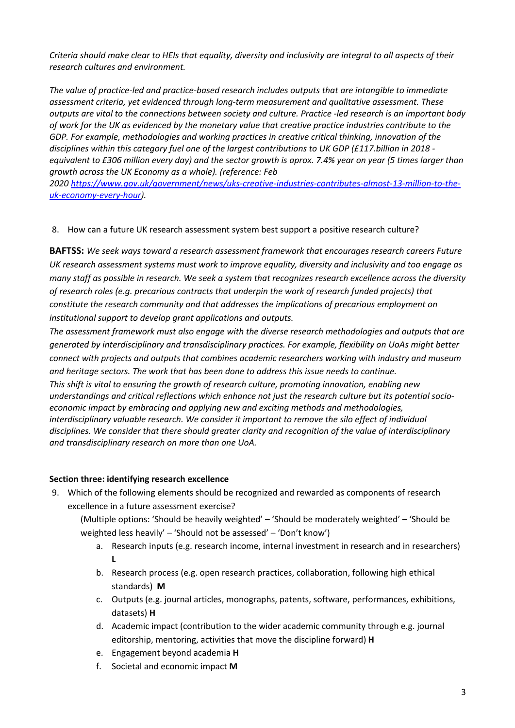*Criteria should make clear to HEIs that equality, diversity and inclusivity are integral to all aspects of their research cultures and environment.*

*The value of practice-led and practice-based research includes outputs that are intangible to immediate assessment criteria, yet evidenced through long-term measurement and qualitative assessment. These outputs are vital to the connections between society and culture. Practice -led research is an important body of work for the UK as evidenced by the monetary value that creative practice industries contribute to the GDP. For example, methodologies and working practices in creative critical thinking, innovation of the disciplines within this category fuel one of the largest contributions to UK GDP (£117.billion in 2018 equivalent to £306 million every day) and the sector growth is aprox. 7.4% year on year (5 times larger than growth across the UK Economy as a whole). (reference: Feb*

*2020 https://www.gov.uk/government/news/uks-creative-industries-contributes-almost-13-million-to-theuk-economy-every-hour).*

## 8. How can a future UK research assessment system best support a positive research culture?

**BAFTSS:** *We seek ways toward a research assessment framework that encourages research careers Future UK research assessment systems must work to improve equality, diversity and inclusivity and too engage as many staff as possible in research. We seek a system that recognizes research excellence across the diversity of research roles (e.g. precarious contracts that underpin the work of research funded projects) that constitute the research community and that addresses the implications of precarious employment on institutional support to develop grant applications and outputs.* 

*The assessment framework must also engage with the diverse research methodologies and outputs that are generated by interdisciplinary and transdisciplinary practices. For example, flexibility on UoAs might better connect with projects and outputs that combines academic researchers working with industry and museum and heritage sectors. The work that has been done to address this issue needs to continue.*

*This shift is vital to ensuring the growth of research culture, promoting innovation, enabling new understandings and critical reflections which enhance not just the research culture but its potential socioeconomic impact by embracing and applying new and exciting methods and methodologies, interdisciplinary valuable research. We consider it important to remove the silo effect of individual disciplines. We consider that there should greater clarity and recognition of the value of interdisciplinary and transdisciplinary research on more than one UoA.*

#### **Section three: identifying research excellence**

9. Which of the following elements should be recognized and rewarded as components of research excellence in a future assessment exercise?

(Multiple options: 'Should be heavily weighted' – 'Should be moderately weighted' – 'Should be weighted less heavily' – 'Should not be assessed' – 'Don't know')

- a. Research inputs (e.g. research income, internal investment in research and in researchers) **L**
- b. Research process (e.g. open research practices, collaboration, following high ethical standards) **M**
- c. Outputs (e.g. journal articles, monographs, patents, software, performances, exhibitions, datasets) **H**
- d. Academic impact (contribution to the wider academic community through e.g. journal editorship, mentoring, activities that move the discipline forward) **H**
- e. Engagement beyond academia **H**
- f. Societal and economic impact **M**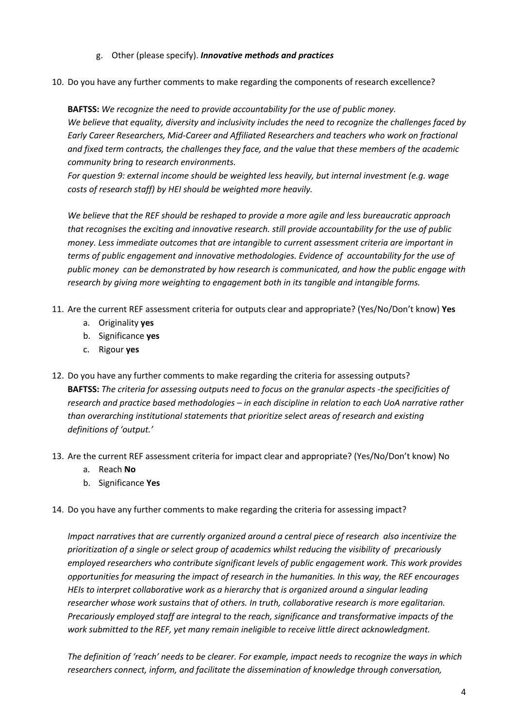# g. Other (please specify). *Innovative methods and practices*

10. Do you have any further comments to make regarding the components of research excellence?

**BAFTSS:** *We recognize the need to provide accountability for the use of public money. We believe that equality, diversity and inclusivity includes the need to recognize the challenges faced by Early Career Researchers, Mid-Career and Affiliated Researchers and teachers who work on fractional and fixed term contracts, the challenges they face, and the value that these members of the academic community bring to research environments.*

*For question 9: external income should be weighted less heavily, but internal investment (e.g. wage costs of research staff) by HEI should be weighted more heavily.*

*We believe that the REF should be reshaped to provide a more agile and less bureaucratic approach that recognises the exciting and innovative research. still provide accountability for the use of public money. Less immediate outcomes that are intangible to current assessment criteria are important in terms of public engagement and innovative methodologies. Evidence of accountability for the use of public money can be demonstrated by how research is communicated, and how the public engage with research by giving more weighting to engagement both in its tangible and intangible forms.* 

- 11. Are the current REF assessment criteria for outputs clear and appropriate? (Yes/No/Don't know) **Yes**
	- a. Originality **yes**
	- b. Significance **yes**
	- c. Rigour **yes**
- 12. Do you have any further comments to make regarding the criteria for assessing outputs? **BAFTSS:** *The criteria for assessing outputs need to focus on the granular aspects -the specificities of research and practice based methodologies – in each discipline in relation to each UoA narrative rather than overarching institutional statements that prioritize select areas of research and existing definitions of 'output.'*
- 13. Are the current REF assessment criteria for impact clear and appropriate? (Yes/No/Don't know) No
	- a. Reach **No**
	- b. Significance **Yes**
- 14. Do you have any further comments to make regarding the criteria for assessing impact?

*Impact narratives that are currently organized around a central piece of research also incentivize the prioritization of a single or select group of academics whilst reducing the visibility of precariously employed researchers who contribute significant levels of public engagement work. This work provides opportunities for measuring the impact of research in the humanities. In this way, the REF encourages HEIs to interpret collaborative work as a hierarchy that is organized around a singular leading researcher whose work sustains that of others. In truth, collaborative research is more egalitarian. Precariously employed staff are integral to the reach, significance and transformative impacts of the work submitted to the REF, yet many remain ineligible to receive little direct acknowledgment.*

*The definition of 'reach' needs to be clearer. For example, impact needs to recognize the ways in which researchers connect, inform, and facilitate the dissemination of knowledge through conversation,*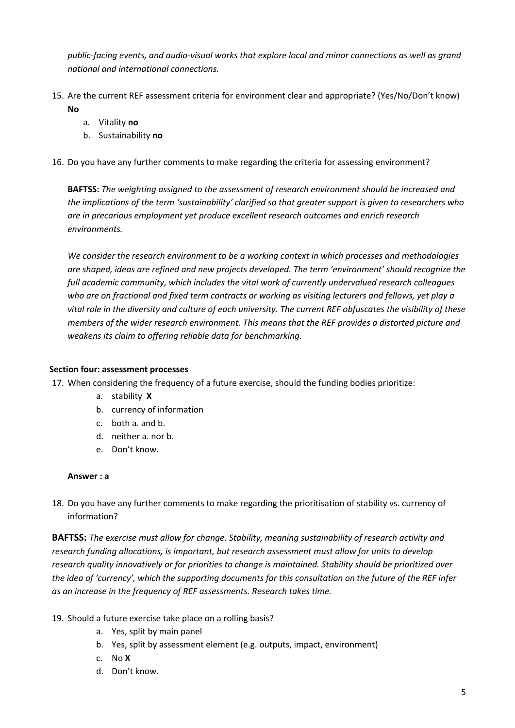*public-facing events, and audio-visual works that explore local and minor connections as well as grand national and international connections.* 

- 15. Are the current REF assessment criteria for environment clear and appropriate? (Yes/No/Don't know) **No**
	- a. Vitality **no**
	- b. Sustainability **no**
- 16. Do you have any further comments to make regarding the criteria for assessing environment?

**BAFTSS:** *The weighting assigned to the assessment of research environment should be increased and the implications of the term 'sustainability' clarified so that greater support is given to researchers who are in precarious employment yet produce excellent research outcomes and enrich research environments.* 

*We consider the research environment to be a working context in which processes and methodologies are shaped, ideas are refined and new projects developed. The term 'environment' should recognize the full academic community, which includes the vital work of currently undervalued research colleagues who are on fractional and fixed term contracts or working as visiting lecturers and fellows, yet play a vital role in the diversity and culture of each university. The current REF obfuscates the visibility of these members of the wider research environment. This means that the REF provides a distorted picture and weakens its claim to offering reliable data for benchmarking.*

## **Section four: assessment processes**

- 17. When considering the frequency of a future exercise, should the funding bodies prioritize:
	- a. stability **X**
	- b. currency of information
	- c. both a. and b.
	- d. neither a. nor b.
	- e. Don't know.

#### **Answer : a**

18. Do you have any further comments to make regarding the prioritisation of stability vs. currency of information?

**BAFTSS:** *The* e*xercise must allow for change. Stability, meaning sustainability of research activity and research funding allocations, is important, but research assessment must allow for units to develop research quality innovatively or for priorities to change is maintained. Stability should be prioritized over the idea of 'currency', which the supporting documents for this consultation on the future of the REF infer as an increase in the frequency of REF assessments. Research takes time.*

- 19. Should a future exercise take place on a rolling basis?
	- a. Yes, split by main panel
	- b. Yes, split by assessment element (e.g. outputs, impact, environment)
	- c. No **X**
	- d. Don't know.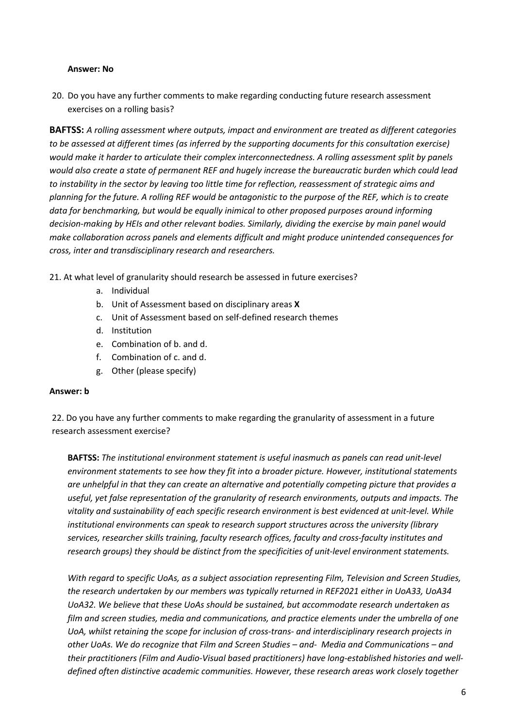### **Answer: No**

20. Do you have any further comments to make regarding conducting future research assessment exercises on a rolling basis?

**BAFTSS:** *A rolling assessment where outputs, impact and environment are treated as different categories to be assessed at different times (as inferred by the supporting documents for this consultation exercise) would make it harder to articulate their complex interconnectedness. A rolling assessment split by panels would also create a state of permanent REF and hugely increase the bureaucratic burden which could lead to instability in the sector by leaving too little time for reflection, reassessment of strategic aims and planning for the future. A rolling REF would be antagonistic to the purpose of the REF, which is to create data for benchmarking, but would be equally inimical to other proposed purposes around informing decision-making by HEIs and other relevant bodies. Similarly, dividing the exercise by main panel would make collaboration across panels and elements difficult and might produce unintended consequences for cross, inter and transdisciplinary research and researchers.*

- 21. At what level of granularity should research be assessed in future exercises?
	- a. Individual
	- b. Unit of Assessment based on disciplinary areas **X**
	- c. Unit of Assessment based on self-defined research themes
	- d. Institution
	- e. Combination of b. and d.
	- f. Combination of c. and d.
	- g. Other (please specify)

#### **Answer: b**

22. Do you have any further comments to make regarding the granularity of assessment in a future research assessment exercise?

**BAFTSS:** *The institutional environment statement is useful inasmuch as panels can read unit-level environment statements to see how they fit into a broader picture. However, institutional statements are unhelpful in that they can create an alternative and potentially competing picture that provides a useful, yet false representation of the granularity of research environments, outputs and impacts. The vitality and sustainability of each specific research environment is best evidenced at unit-level. While institutional environments can speak to research support structures across the university (library services, researcher skills training, faculty research offices, faculty and cross-faculty institutes and research groups) they should be distinct from the specificities of unit-level environment statements.*

*With regard to specific UoAs, as a subject association representing Film, Television and Screen Studies, the research undertaken by our members was typically returned in REF2021 either in UoA33, UoA34 UoA32. We believe that these UoAs should be sustained, but accommodate research undertaken as film and screen studies, media and communications, and practice elements under the umbrella of one UoA, whilst retaining the scope for inclusion of cross-trans- and interdisciplinary research projects in other UoAs. We do recognize that Film and Screen Studies – and- Media and Communications – and their practitioners (Film and Audio-Visual based practitioners) have long-established histories and welldefined often distinctive academic communities. However, these research areas work closely together*